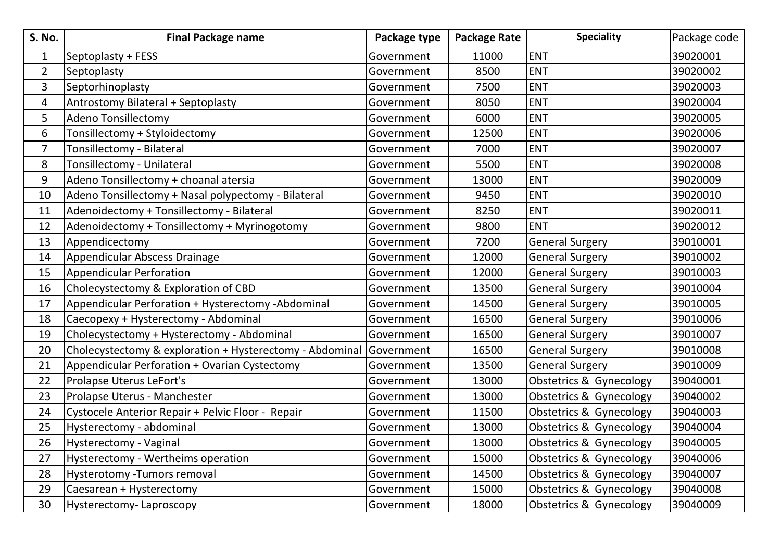| <b>S. No.</b>  | <b>Final Package name</b>                                | Package type | <b>Package Rate</b> | <b>Speciality</b>       | Package code |
|----------------|----------------------------------------------------------|--------------|---------------------|-------------------------|--------------|
| 1              | Septoplasty + FESS                                       | Government   | 11000               | <b>ENT</b>              | 39020001     |
| $\overline{2}$ | Septoplasty                                              | Government   | 8500                | <b>ENT</b>              | 39020002     |
| $\overline{3}$ | Septorhinoplasty                                         | Government   | 7500                | <b>ENT</b>              | 39020003     |
| 4              | Antrostomy Bilateral + Septoplasty                       | Government   | 8050                | <b>ENT</b>              | 39020004     |
| 5              | <b>Adeno Tonsillectomy</b>                               | Government   | 6000                | <b>ENT</b>              | 39020005     |
| 6              | Tonsillectomy + Styloidectomy                            | Government   | 12500               | <b>ENT</b>              | 39020006     |
| $\overline{7}$ | Tonsillectomy - Bilateral                                | Government   | 7000                | <b>ENT</b>              | 39020007     |
| 8              | Tonsillectomy - Unilateral                               | Government   | 5500                | <b>ENT</b>              | 39020008     |
| 9              | Adeno Tonsillectomy + choanal atersia                    | Government   | 13000               | <b>ENT</b>              | 39020009     |
| 10             | Adeno Tonsillectomy + Nasal polypectomy - Bilateral      | Government   | 9450                | <b>ENT</b>              | 39020010     |
| 11             | Adenoidectomy + Tonsillectomy - Bilateral                | Government   | 8250                | <b>ENT</b>              | 39020011     |
| 12             | Adenoidectomy + Tonsillectomy + Myrinogotomy             | Government   | 9800                | <b>ENT</b>              | 39020012     |
| 13             | Appendicectomy                                           | Government   | 7200                | <b>General Surgery</b>  | 39010001     |
| 14             | Appendicular Abscess Drainage                            | Government   | 12000               | <b>General Surgery</b>  | 39010002     |
| 15             | <b>Appendicular Perforation</b>                          | Government   | 12000               | <b>General Surgery</b>  | 39010003     |
| 16             | Cholecystectomy & Exploration of CBD                     | Government   | 13500               | <b>General Surgery</b>  | 39010004     |
| 17             | Appendicular Perforation + Hysterectomy -Abdominal       | Government   | 14500               | <b>General Surgery</b>  | 39010005     |
| 18             | Caecopexy + Hysterectomy - Abdominal                     | Government   | 16500               | <b>General Surgery</b>  | 39010006     |
| 19             | Cholecystectomy + Hysterectomy - Abdominal               | Government   | 16500               | <b>General Surgery</b>  | 39010007     |
| 20             | Cholecystectomy & exploration + Hysterectomy - Abdominal | Government   | 16500               | <b>General Surgery</b>  | 39010008     |
| 21             | Appendicular Perforation + Ovarian Cystectomy            | Government   | 13500               | <b>General Surgery</b>  | 39010009     |
| 22             | Prolapse Uterus LeFort's                                 | Government   | 13000               | Obstetrics & Gynecology | 39040001     |
| 23             | Prolapse Uterus - Manchester                             | Government   | 13000               | Obstetrics & Gynecology | 39040002     |
| 24             | Cystocele Anterior Repair + Pelvic Floor - Repair        | Government   | 11500               | Obstetrics & Gynecology | 39040003     |
| 25             | Hysterectomy - abdominal                                 | Government   | 13000               | Obstetrics & Gynecology | 39040004     |
| 26             | Hysterectomy - Vaginal                                   | Government   | 13000               | Obstetrics & Gynecology | 39040005     |
| 27             | Hysterectomy - Wertheims operation                       | Government   | 15000               | Obstetrics & Gynecology | 39040006     |
| 28             | Hysterotomy -Tumors removal                              | Government   | 14500               | Obstetrics & Gynecology | 39040007     |
| 29             | Caesarean + Hysterectomy                                 | Government   | 15000               | Obstetrics & Gynecology | 39040008     |
| 30             | Hysterectomy-Laproscopy                                  | Government   | 18000               | Obstetrics & Gynecology | 39040009     |